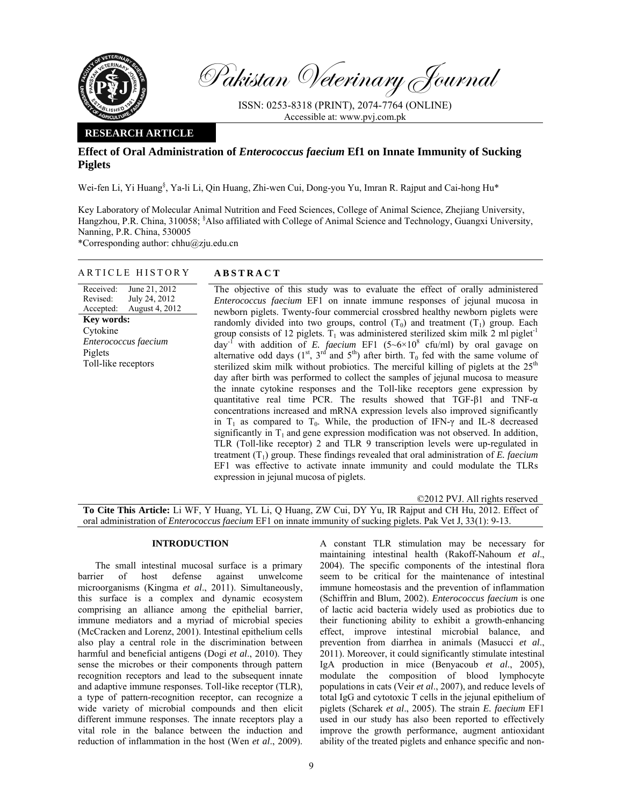

Pakistan Veterinary Journal

ISSN: 0253-8318 (PRINT), 2074-7764 (ONLINE) Accessible at: www.pvj.com.pk

# **RESEARCH ARTICLE**

# **Effect of Oral Administration of** *Enterococcus faecium* **Ef1 on Innate Immunity of Sucking Piglets**

Wei-fen Li, Yi Huang<sup>§</sup>, Ya-li Li, Qin Huang, Zhi-wen Cui, Dong-you Yu, Imran R. Rajput and Cai-hong Hu<sup>\*</sup>

Key Laboratory of Molecular Animal Nutrition and Feed Sciences, College of Animal Science, Zhejiang University, Hangzhou, P.R. China, 310058; <sup>§</sup>Also affiliated with College of Animal Science and Technology, Guangxi University, Nanning, P.R. China, 530005

\*Corresponding author: chhu@zju.edu.cn

### ARTICLE HISTORY **ABSTRACT**

Received: Revised: Accepted: June 21, 2012 July 24, 2012 August 4, 2012 **Key words:**  Cytokine *Enterococcus faecium*  Piglets Toll-like receptors

The objective of this study was to evaluate the effect of orally administered *Enterococcus faecium* EF1 on innate immune responses of jejunal mucosa in newborn piglets. Twenty-four commercial crossbred healthy newborn piglets were randomly divided into two groups, control  $(T_0)$  and treatment  $(T_1)$  group. Each group consists of 12 piglets.  $T_1$  was administered sterilized skim milk 2 ml piglet<sup>-1</sup> day<sup>-f</sup> with addition of *E. faecium* EF1  $(5-6\times10^8 \text{ cftu/ml})$  by oral gavage on alternative odd days  $(1^{st}, 3^{rd}$  and  $5^{th}$ ) after birth. T<sub>0</sub> fed with the same volume of sterilized skim milk without probiotics. The merciful killing of piglets at the  $25<sup>th</sup>$ day after birth was performed to collect the samples of jejunal mucosa to measure the innate cytokine responses and the Toll-like receptors gene expression by quantitative real time PCR. The results showed that TGF-β1 and TNF- $\alpha$ concentrations increased and mRNA expression levels also improved significantly in  $T_1$  as compared to  $T_0$ . While, the production of IFN- $\gamma$  and IL-8 decreased significantly in  $T_1$  and gene expression modification was not observed. In addition, TLR (Toll-like receptor) 2 and TLR 9 transcription levels were up-regulated in treatment (T1) group. These findings revealed that oral administration of *E. faecium* EF1 was effective to activate innate immunity and could modulate the TLRs expression in jejunal mucosa of piglets.

©2012 PVJ. All rights reserved **To Cite This Article:** Li WF, Y Huang, YL Li, Q Huang, ZW Cui, DY Yu, IR Rajput and CH Hu, 2012. Effect of oral administration of *Enterococcus faecium* EF1 on innate immunity of sucking piglets. Pak Vet J, 33(1): 9-13.

## **INTRODUCTION**

The small intestinal mucosal surface is a primary barrier of host defense against unwelcome microorganisms (Kingma *et al*., 2011). Simultaneously, this surface is a complex and dynamic ecosystem comprising an alliance among the epithelial barrier, immune mediators and a myriad of microbial species (McCracken and Lorenz, 2001). Intestinal epithelium cells also play a central role in the discrimination between harmful and beneficial antigens (Dogi *et al*., 2010). They sense the microbes or their components through pattern recognition receptors and lead to the subsequent innate and adaptive immune responses. Toll-like receptor (TLR), a type of pattern-recognition receptor, can recognize a wide variety of microbial compounds and then elicit different immune responses. The innate receptors play a vital role in the balance between the induction and reduction of inflammation in the host (Wen *et al*., 2009).

A constant TLR stimulation may be necessary for maintaining intestinal health (Rakoff-Nahoum *et al*., 2004). The specific components of the intestinal flora seem to be critical for the maintenance of intestinal immune homeostasis and the prevention of inflammation (Schiffrin and Blum, 2002). *Enterococcus faecium* is one of lactic acid bacteria widely used as probiotics due to their functioning ability to exhibit a growth-enhancing effect, improve intestinal microbial balance, and prevention from diarrhea in animals (Masucci *et al*., 2011). Moreover, it could significantly stimulate intestinal IgA production in mice (Benyacoub *et al*., 2005), modulate the composition of blood lymphocyte populations in cats (Veir *et al*., 2007), and reduce levels of total IgG and cytotoxic T cells in the jejunal epithelium of piglets (Scharek *et al*., 2005). The strain *E. faecium* EF1 used in our study has also been reported to effectively improve the growth performance, augment antioxidant ability of the treated piglets and enhance specific and non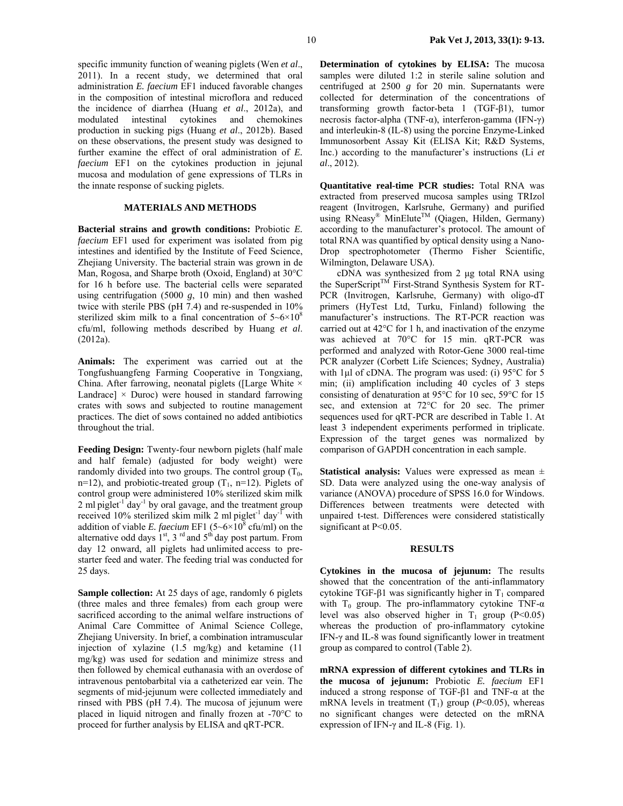specific immunity function of weaning piglets (Wen *et al*., 2011). In a recent study, we determined that oral administration *E. faecium* EF1 induced favorable changes in the composition of intestinal microflora and reduced the incidence of diarrhea (Huang *et al*., 2012a), and modulated intestinal cytokines and chemokines production in sucking pigs (Huang *et al*., 2012b). Based on these observations, the present study was designed to further examine the effect of oral administration of *E. faecium* EF1 on the cytokines production in jejunal mucosa and modulation of gene expressions of TLRs in the innate response of sucking piglets.

# **MATERIALS AND METHODS**

**Bacterial strains and growth conditions:** Probiotic *E. faecium* EF1 used for experiment was isolated from pig intestines and identified by the Institute of Feed Science, Zhejiang University. The bacterial strain was grown in de Man, Rogosa, and Sharpe broth (Oxoid, England) at 30°C for 16 h before use. The bacterial cells were separated using centrifugation (5000 *g*, 10 min) and then washed twice with sterile PBS (pH 7.4) and re-suspended in 10% sterilized skim milk to a final concentration of  $5{\sim}6{\times}10^8$ cfu/ml, following methods described by Huang *et al*. (2012a).

**Animals:** The experiment was carried out at the Tongfushuangfeng Farming Cooperative in Tongxiang, China. After farrowing, neonatal piglets ([Large White  $\times$ Landrace]  $\times$  Duroc) were housed in standard farrowing crates with sows and subjected to routine management practices. The diet of sows contained no added antibiotics throughout the trial.

**Feeding Design:** Twenty-four newborn piglets (half male and half female) (adjusted for body weight) were randomly divided into two groups. The control group  $(T_0,$ n=12), and probiotic-treated group  $(T_1, n=12)$ . Piglets of control group were administered 10% sterilized skim milk 2 ml piglet<sup>-1</sup> day<sup>-1</sup> by oral gavage, and the treatment group received 10% sterilized skim milk 2 ml piglet $^{-1}$  day $^{-1}$  with addition of viable *E. faecium* EF1 (5~6×10<sup>8</sup> cfu/ml) on the alternative odd days  $1^{st}$ ,  $3^{rd}$  and  $5^{th}$  day post partum. From day 12 onward, all piglets had unlimited access to prestarter feed and water. The feeding trial was conducted for 25 days.

**Sample collection:** At 25 days of age, randomly 6 piglets (three males and three females) from each group were sacrificed according to the animal welfare instructions of Animal Care Committee of Animal Science College, Zhejiang University. In brief, a combination intramuscular injection of xylazine (1.5 mg/kg) and ketamine (11 mg/kg) was used for sedation and minimize stress and then followed by chemical euthanasia with an overdose of intravenous pentobarbital via a catheterized ear vein. The segments of mid-jejunum were collected immediately and rinsed with PBS (pH 7.4). The mucosa of jejunum were placed in liquid nitrogen and finally frozen at -70°C to proceed for further analysis by ELISA and qRT-PCR.

**Determination of cytokines by ELISA:** The mucosa samples were diluted 1:2 in sterile saline solution and centrifuged at 2500 *g* for 20 min. Supernatants were collected for determination of the concentrations of transforming growth factor-beta 1 (TGF-β1), tumor necrosis factor-alpha (TNF-α), interferon-gamma (IFN-γ) and interleukin-8 (IL-8) using the porcine Enzyme-Linked Immunosorbent Assay Kit (ELISA Kit; R&D Systems, Inc.) according to the manufacturer's instructions (Li *et al*., 2012).

**Quantitative real-time PCR studies:** Total RNA was extracted from preserved mucosa samples using TRIzol reagent (Invitrogen, Karlsruhe, Germany) and purified using RNeasy<sup>®</sup> MinElute<sup>™</sup> (Qiagen, Hilden, Germany) according to the manufacturer's protocol. The amount of total RNA was quantified by optical density using a Nano-Drop spectrophotometer (Thermo Fisher Scientific, Wilmington, Delaware USA).

cDNA was synthesized from 2 µg total RNA using the SuperScript<sup>TM</sup> First-Strand Synthesis System for RT-PCR (Invitrogen, Karlsruhe, Germany) with oligo-dT primers (HyTest Ltd, Turku, Finland) following the manufacturer's instructions. The RT-PCR reaction was carried out at 42°C for 1 h, and inactivation of the enzyme was achieved at 70°C for 15 min. qRT-PCR was performed and analyzed with Rotor-Gene 3000 real-time PCR analyzer (Corbett Life Sciences; Sydney, Australia) with 1 $\mu$ l of cDNA. The program was used: (i) 95 $\degree$ C for 5 min; (ii) amplification including 40 cycles of 3 steps consisting of denaturation at 95°C for 10 sec, 59°C for 15 sec, and extension at 72°C for 20 sec. The primer sequences used for qRT-PCR are described in Table 1. At least 3 independent experiments performed in triplicate. Expression of the target genes was normalized by comparison of GAPDH concentration in each sample.

**Statistical analysis:** Values were expressed as mean ± SD. Data were analyzed using the one-way analysis of variance (ANOVA) procedure of SPSS 16.0 for Windows. Differences between treatments were detected with unpaired t-test. Differences were considered statistically significant at P<0.05.

#### **RESULTS**

**Cytokines in the mucosa of jejunum:** The results showed that the concentration of the anti-inflammatory cytokine TGF-β1 was significantly higher in  $T_1$  compared with  $T_0$  group. The pro-inflammatory cytokine TNF- $\alpha$ level was also observed higher in  $T_1$  group (P<0.05) whereas the production of pro-inflammatory cytokine IFN-γ and IL-8 was found significantly lower in treatment group as compared to control (Table 2).

**mRNA expression of different cytokines and TLRs in the mucosa of jejunum:** Probiotic *E. faecium* EF1 induced a strong response of TGF-β1 and TNF-α at the mRNA levels in treatment  $(T_1)$  group ( $P<0.05$ ), whereas no significant changes were detected on the mRNA expression of IFN- $\gamma$  and IL-8 (Fig. 1).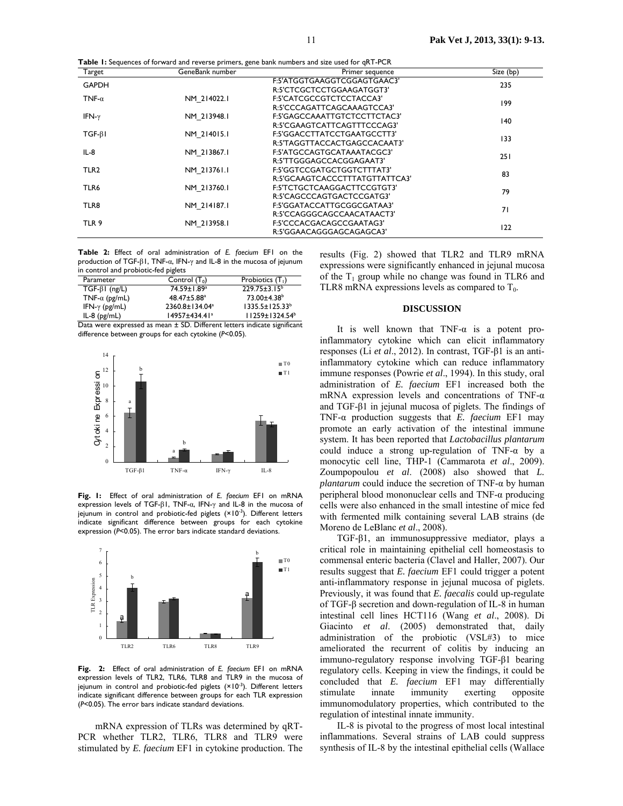| Target           | GeneBank number | Primer sequence                | Size (bp) |  |
|------------------|-----------------|--------------------------------|-----------|--|
| <b>GAPDH</b>     |                 | F:5'ATGGTGAAGGTCGGAGTGAAC3'    | 235       |  |
|                  |                 | R:5'CTCGCTCCTGGAAGATGGT3'      |           |  |
| TNF- $\alpha$    | NM 214022.1     | F:5'CATCGCCGTCTCCTACCA3'       | 199       |  |
|                  |                 | R:5'CCCAGATTCAGCAAAGTCCA3'     |           |  |
| IFN- $\gamma$    | NM 213948.1     | F:5'GAGCCAAATTGTCTCCTTCTAC3'   | 140       |  |
|                  |                 | R:5'CGAAGTCATTCAGTTTCCCAG3'    |           |  |
| $TGF-\betal$     | NM 214015.1     | F:5'GGACCTTATCCTGAATGCCTT3'    | 133       |  |
|                  |                 | R:5'TAGGTTACCACTGAGCCACAAT3'   |           |  |
| IL-8             | NM 213867.1     | F:5'ATGCCAGTGCATAAATACGC3'     | 251       |  |
|                  |                 | R:5'TTGGGAGCCACGGAGAAT3'       |           |  |
| TLR <sub>2</sub> | NM 213761.1     | F:5'GGTCCGATGCTGGTCTTTAT3'     | 83        |  |
|                  |                 | R:5'GCAAGTCACCCTTTATGTTATTCA3' |           |  |
| TLR6             | NM 213760.1     | F:5'TCTGCTCAAGGACTTCCGTGT3'    | 79        |  |
|                  |                 | R:5'CAGCCCAGTGACTCCGATG3'      |           |  |
| TLR8             | NM 214187.1     | F:5'GGATACCATTGCGGCGATAA3'     | 71        |  |
|                  |                 | R:5'CCAGGGCAGCCAACATAACT3'     |           |  |
| TLR <sub>9</sub> | NM 213958.1     | F:5'CCCACGACAGCCGAATAG3'       | 122       |  |
|                  |                 | R:5'GGAACAGGGAGCAGAGCA3'       |           |  |

**Table 2:** Effect of oral administration of *E. faecium* EF1 on the production of TGF-β1, TNF-α, IFN-γ and IL-8 in the mucosa of jejunum in control and probiotic-fed piglets

| Control $(T_0)$               | Probiotics $(T_1)$          |
|-------------------------------|-----------------------------|
| 74.59±1.89 <sup>a</sup>       | $229.75 \pm 3.15^b$         |
| $48.47 \pm 5.88$ <sup>a</sup> | $73.00 + 4.38$ <sup>b</sup> |
| 2360.8±134.04 <sup>a</sup>    | $1335.5 \pm 125.33^b$       |
| 14957±434.41ª                 | 11259±1324.54 <sup>b</sup>  |
|                               |                             |

Data were expressed as mean ± SD. Different letters indicate significant difference between groups for each cytokine (*P*<0.05).



**Fig. 1:** Effect of oral administration of *E. faecium* EF1 on mRNA expression levels of TGF-β1, TNF-α, IFN-γ and IL-8 in the mucosa of jejunum in control and probiotic-fed piglets (×10<sup>-3</sup>). Different letters indicate significant difference between groups for each cytokine expression (*P*<0.05). The error bars indicate standard deviations.



**Fig. 2:** Effect of oral administration of *E. faecium* EF1 on mRNA expression levels of TLR2, TLR6, TLR8 and TLR9 in the mucosa of jejunum in control and probiotic-fed piglets (×10<sup>-3</sup>). Different letters indicate significant difference between groups for each TLR expression (*P*<0.05). The error bars indicate standard deviations.

mRNA expression of TLRs was determined by qRT-PCR whether TLR2, TLR6, TLR8 and TLR9 were stimulated by *E. faecium* EF1 in cytokine production. The

results (Fig. 2) showed that TLR2 and TLR9 mRNA expressions were significantly enhanced in jejunal mucosa of the  $T_1$  group while no change was found in TLR6 and TLR8 mRNA expressions levels as compared to  $T_0$ .

#### **DISCUSSION**

It is well known that  $TNF-\alpha$  is a potent proinflammatory cytokine which can elicit inflammatory responses (Li *et al*., 2012). In contrast, TGF-β1 is an antiinflammatory cytokine which can reduce inflammatory immune responses (Powrie *et al*., 1994). In this study, oral administration of *E. faecium* EF1 increased both the mRNA expression levels and concentrations of TNF-α and TGF-β1 in jejunal mucosa of piglets. The findings of TNF-α production suggests that *E. faecium* EF1 may promote an early activation of the intestinal immune system. It has been reported that *Lactobacillus plantarum* could induce a strong up-regulation of TNF-α by a monocytic cell line, THP-1 (Cammarota *et al*., 2009). Zoumpopoulou *et al*. (2008) also showed that *L. plantarum* could induce the secretion of TNF-α by human peripheral blood mononuclear cells and TNF-α producing cells were also enhanced in the small intestine of mice fed with fermented milk containing several LAB strains (de Moreno de LeBlanc *et al*., 2008).

TGF-β1, an immunosuppressive mediator, plays a critical role in maintaining epithelial cell homeostasis to commensal enteric bacteria (Clavel and Haller, 2007). Our results suggest that *E. faecium* EF1 could trigger a potent anti-inflammatory response in jejunal mucosa of piglets. Previously, it was found that *E. faecalis* could up-regulate of TGF-β secretion and down-regulation of IL-8 in human intestinal cell lines HCT116 (Wang *et al*., 2008). Di Giacinto *et al*. (2005) demonstrated that, daily administration of the probiotic (VSL#3) to mice ameliorated the recurrent of colitis by inducing an immuno-regulatory response involving TGF-β1 bearing regulatory cells. Keeping in view the findings, it could be concluded that *E. faecium* EF1 may differentially stimulate innate immunity exerting opposite immunomodulatory properties, which contributed to the regulation of intestinal innate immunity.

IL-8 is pivotal to the progress of most local intestinal inflammations. Several strains of LAB could suppress synthesis of IL-8 by the intestinal epithelial cells (Wallace

**Table 1:** Sequences of forward and reverse primers, gene bank numbers and size used for qRT-PCR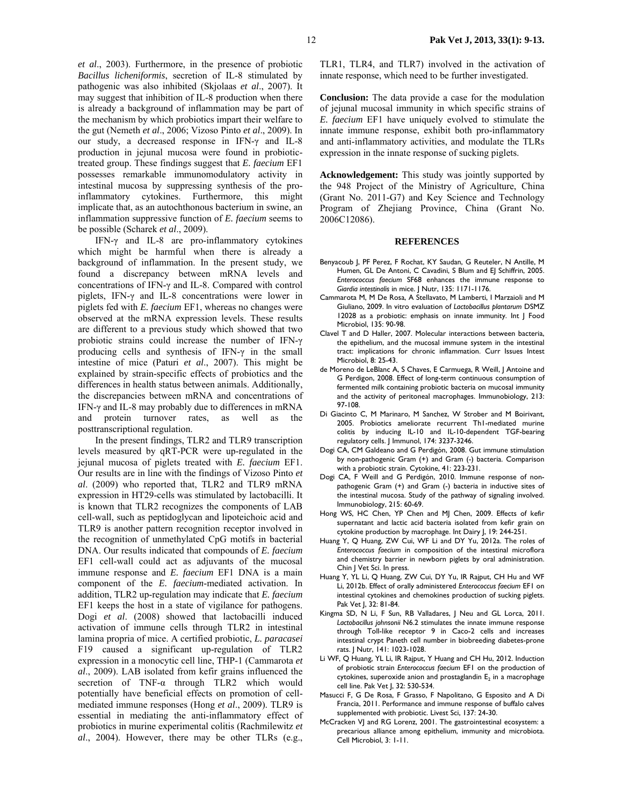*et al*., 2003). Furthermore, in the presence of probiotic *Bacillus licheniformis*, secretion of IL-8 stimulated by pathogenic was also inhibited (Skjolaas *et al*., 2007). It may suggest that inhibition of IL-8 production when there is already a background of inflammation may be part of the mechanism by which probiotics impart their welfare to the gut (Nemeth *et al*., 2006; Vizoso Pinto *et al*., 2009). In our study, a decreased response in IFN-γ and IL-8 production in jejunal mucosa were found in probiotictreated group. These findings suggest that *E. faecium* EF1 possesses remarkable immunomodulatory activity in intestinal mucosa by suppressing synthesis of the proinflammatory cytokines. Furthermore, this might implicate that, as an autochthonous bacterium in swine, an inflammation suppressive function of *E. faecium* seems to be possible (Scharek *et al*., 2009).

IFN-γ and IL-8 are pro-inflammatory cytokines which might be harmful when there is already a background of inflammation. In the present study, we found a discrepancy between mRNA levels and concentrations of IFN-γ and IL-8. Compared with control piglets, IFN-γ and IL-8 concentrations were lower in piglets fed with *E. faecium* EF1, whereas no changes were observed at the mRNA expression levels. These results are different to a previous study which showed that two probiotic strains could increase the number of IFN-γ producing cells and synthesis of IFN-γ in the small intestine of mice (Paturi *et al*., 2007). This might be explained by strain-specific effects of probiotics and the differences in health status between animals. Additionally, the discrepancies between mRNA and concentrations of IFN-γ and IL-8 may probably due to differences in mRNA and protein turnover rates, as well as the posttranscriptional regulation.

In the present findings, TLR2 and TLR9 transcription levels measured by qRT-PCR were up-regulated in the jejunal mucosa of piglets treated with *E. faecium* EF1. Our results are in line with the findings of Vizoso Pinto *et al*. (2009) who reported that, TLR2 and TLR9 mRNA expression in HT29-cells was stimulated by lactobacilli. It is known that TLR2 recognizes the components of LAB cell-wall, such as peptidoglycan and lipoteichoic acid and TLR9 is another pattern recognition receptor involved in the recognition of unmethylated CpG motifs in bacterial DNA. Our results indicated that compounds of *E. faecium* EF1 cell-wall could act as adjuvants of the mucosal immune response and *E. faecium* EF1 DNA is a main component of the *E. faecium*-mediated activation. In addition, TLR2 up-regulation may indicate that *E. faecium* EF1 keeps the host in a state of vigilance for pathogens. Dogi *et al*. (2008) showed that lactobacilli induced activation of immune cells through TLR2 in intestinal lamina propria of mice. A certified probiotic, *L. paracasei* F19 caused a significant up-regulation of TLR2 expression in a monocytic cell line, THP-1 (Cammarota *et al*., 2009). LAB isolated from kefir grains influenced the secretion of TNF-α through TLR2 which would potentially have beneficial effects on promotion of cellmediated immune responses (Hong *et al*., 2009). TLR9 is essential in mediating the anti-inflammatory effect of probiotics in murine experimental colitis (Rachmilewitz *et al*., 2004). However, there may be other TLRs (e.g.,

TLR1, TLR4, and TLR7) involved in the activation of innate response, which need to be further investigated.

**Conclusion:** The data provide a case for the modulation of jejunal mucosal immunity in which specific strains of *E. faecium* EF1 have uniquely evolved to stimulate the innate immune response, exhibit both pro-inflammatory and anti-inflammatory activities, and modulate the TLRs expression in the innate response of sucking piglets.

**Acknowledgement:** This study was jointly supported by the 948 Project of the Ministry of Agriculture, China (Grant No. 2011-G7) and Key Science and Technology Program of Zhejiang Province, China (Grant No. 2006C12086).

#### **REFERENCES**

- Benyacoub J, PF Perez, F Rochat, KY Saudan, G Reuteler, N Antille, M Humen, GL De Antoni, C Cavadini, S Blum and EJ Schiffrin, 2005. *Enterococcus faecium* SF68 enhances the immune response to *Giardia intestinalis* in mice. J Nutr, 135: 1171-1176.
- Cammarota M, M De Rosa, A Stellavato, M Lamberti, I Marzaioli and M Giuliano, 2009. In vitro evaluation of *Lactobacillus plantarum* DSMZ 12028 as a probiotic: emphasis on innate immunity. Int J Food Microbiol, 135: 90-98.
- Clavel T and D Haller, 2007. Molecular interactions between bacteria, the epithelium, and the mucosal immune system in the intestinal tract: implications for chronic inflammation. Curr Issues Intest Microbiol, 8: 25-43.
- de Moreno de LeBlanc A, S Chaves, E Carmuega, R Weill, J Antoine and G Perdigon, 2008. Effect of long-term continuous consumption of fermented milk containing probiotic bacteria on mucosal immunity and the activity of peritoneal macrophages. Immunobiology, 213: 97-108.
- Di Giacinto C, M Marinaro, M Sanchez, W Strober and M Boirivant, 2005. Probiotics ameliorate recurrent Th1-mediated murine colitis by inducing IL-10 and IL-10-dependent TGF-bearing regulatory cells. J Immunol, 174: 3237-3246.
- Dogi CA, CM Galdeano and G Perdigón, 2008. Gut immune stimulation by non-pathogenic Gram (+) and Gram (-) bacteria. Comparison with a probiotic strain. Cytokine, 41: 223-231.
- Dogi CA, F Weill and G Perdigón, 2010. Immune response of nonpathogenic Gram (+) and Gram (-) bacteria in inductive sites of the intestinal mucosa. Study of the pathway of signaling involved. Immunobiology, 215: 60-69.
- Hong WS, HC Chen, YP Chen and MJ Chen, 2009. Effects of kefir supernatant and lactic acid bacteria isolated from kefir grain on cytokine production by macrophage. Int Dairy J, 19: 244-251.
- Huang Y, Q Huang, ZW Cui, WF Li and DY Yu, 2012a. The roles of *Enterococcus faecium* in composition of the intestinal microflora and chemistry barrier in newborn piglets by oral administration. Chin J Vet Sci. In press.
- Huang Y, YL Li, Q Huang, ZW Cui, DY Yu, IR Rajput, CH Hu and WF Li, 2012b. Effect of orally administered *Enterococcus faecium* EF1 on intestinal cytokines and chemokines production of sucking piglets. Pak Vet J, 32: 81-84.
- Kingma SD, N Li, F Sun, RB Valladares, J Neu and GL Lorca, 2011. *Lactobacillus johnsonii* N6.2 stimulates the innate immune response through Toll-like receptor 9 in Caco-2 cells and increases intestinal crypt Paneth cell number in biobreeding diabetes-prone rats. J Nutr, 141: 1023-1028.
- Li WF, Q Huang, YL Li, IR Rajput, Y Huang and CH Hu, 2012. Induction of probiotic strain *Enterococcus faecium* EF1 on the production of cytokines, superoxide anion and prostaglandin  $E_2$  in a macrophage cell line. Pak Vet J, 32: 530-534.
- Masucci F, G De Rosa, F Grasso, F Napolitano, G Esposito and A Di Francia, 2011. Performance and immune response of buffalo calves supplemented with probiotic. Livest Sci, 137: 24-30.
- McCracken VJ and RG Lorenz, 2001. The gastrointestinal ecosystem: a precarious alliance among epithelium, immunity and microbiota. Cell Microbiol, 3: 1-11.